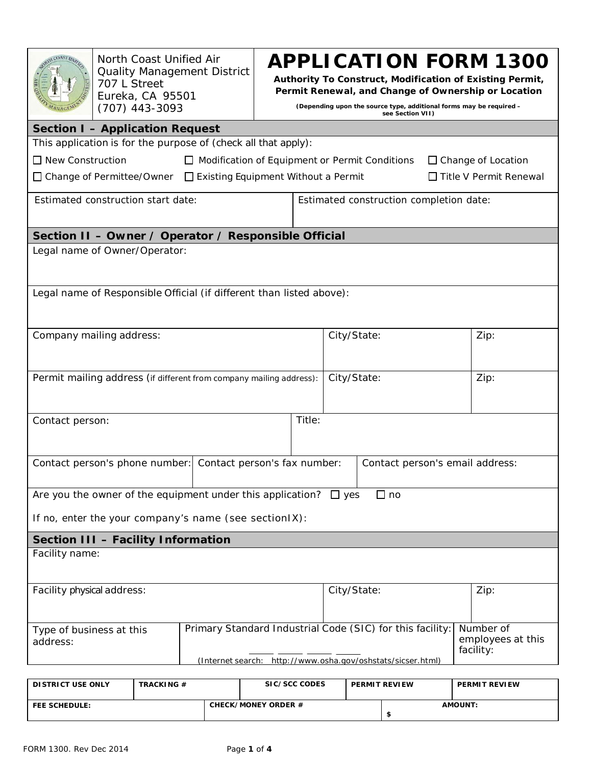|                                                                                                               | 707 L Street | North Coast Unified Air<br>Eureka, CA 95501<br>(707) 443-3093 | <b>APPLICATION FORM 1300</b><br><b>Quality Management District</b><br>Authority To Construct, Modification of Existing Permit,<br>Permit Renewal, and Change of Ownership or Location<br>(Depending upon the source type, additional forms may be required -<br>see Section VII) |  |                                                                          |             |               |  |               |  |  |
|---------------------------------------------------------------------------------------------------------------|--------------|---------------------------------------------------------------|----------------------------------------------------------------------------------------------------------------------------------------------------------------------------------------------------------------------------------------------------------------------------------|--|--------------------------------------------------------------------------|-------------|---------------|--|---------------|--|--|
| <b>Section I - Application Request</b>                                                                        |              |                                                               |                                                                                                                                                                                                                                                                                  |  |                                                                          |             |               |  |               |  |  |
| This application is for the purpose of (check all that apply):                                                |              |                                                               |                                                                                                                                                                                                                                                                                  |  |                                                                          |             |               |  |               |  |  |
| $\Box$ New Construction<br>$\Box$ Modification of Equipment or Permit Conditions<br>$\Box$ Change of Location |              |                                                               |                                                                                                                                                                                                                                                                                  |  |                                                                          |             |               |  |               |  |  |
| $\Box$ Title V Permit Renewal<br>$\Box$ Change of Permittee/Owner $\Box$ Existing Equipment Without a Permit  |              |                                                               |                                                                                                                                                                                                                                                                                  |  |                                                                          |             |               |  |               |  |  |
| Estimated construction start date:                                                                            |              |                                                               |                                                                                                                                                                                                                                                                                  |  | Estimated construction completion date:                                  |             |               |  |               |  |  |
| Section II - Owner / Operator / Responsible Official                                                          |              |                                                               |                                                                                                                                                                                                                                                                                  |  |                                                                          |             |               |  |               |  |  |
| Legal name of Owner/Operator:                                                                                 |              |                                                               |                                                                                                                                                                                                                                                                                  |  |                                                                          |             |               |  |               |  |  |
| Legal name of Responsible Official (if different than listed above):                                          |              |                                                               |                                                                                                                                                                                                                                                                                  |  |                                                                          |             |               |  |               |  |  |
|                                                                                                               |              |                                                               |                                                                                                                                                                                                                                                                                  |  |                                                                          |             |               |  |               |  |  |
| Company mailing address:                                                                                      |              |                                                               |                                                                                                                                                                                                                                                                                  |  |                                                                          | City/State: |               |  | Zip:          |  |  |
|                                                                                                               |              |                                                               |                                                                                                                                                                                                                                                                                  |  |                                                                          |             |               |  |               |  |  |
|                                                                                                               |              |                                                               |                                                                                                                                                                                                                                                                                  |  |                                                                          |             |               |  |               |  |  |
| Permit mailing address (if different from company mailing address):                                           |              |                                                               |                                                                                                                                                                                                                                                                                  |  | City/State:                                                              |             |               |  | Zip:          |  |  |
|                                                                                                               |              |                                                               |                                                                                                                                                                                                                                                                                  |  |                                                                          |             |               |  |               |  |  |
|                                                                                                               |              |                                                               |                                                                                                                                                                                                                                                                                  |  |                                                                          |             |               |  |               |  |  |
| Contact person:                                                                                               |              |                                                               |                                                                                                                                                                                                                                                                                  |  | Title:                                                                   |             |               |  |               |  |  |
|                                                                                                               |              |                                                               |                                                                                                                                                                                                                                                                                  |  |                                                                          |             |               |  |               |  |  |
| Contact person's phone number: Contact person's fax number:<br>Contact person's email address:                |              |                                                               |                                                                                                                                                                                                                                                                                  |  |                                                                          |             |               |  |               |  |  |
|                                                                                                               |              |                                                               |                                                                                                                                                                                                                                                                                  |  |                                                                          |             |               |  |               |  |  |
| Are you the owner of the equipment under this application? $\Box$ yes                                         |              |                                                               |                                                                                                                                                                                                                                                                                  |  |                                                                          |             | $\square$ no  |  |               |  |  |
|                                                                                                               |              |                                                               |                                                                                                                                                                                                                                                                                  |  |                                                                          |             |               |  |               |  |  |
| If no, enter the your company's name (see section IX):                                                        |              |                                                               |                                                                                                                                                                                                                                                                                  |  |                                                                          |             |               |  |               |  |  |
| Section III - Facility Information                                                                            |              |                                                               |                                                                                                                                                                                                                                                                                  |  |                                                                          |             |               |  |               |  |  |
| Facility name:                                                                                                |              |                                                               |                                                                                                                                                                                                                                                                                  |  |                                                                          |             |               |  |               |  |  |
|                                                                                                               |              |                                                               |                                                                                                                                                                                                                                                                                  |  |                                                                          |             |               |  |               |  |  |
| City/State:<br>Facility physical address:<br>Zip:                                                             |              |                                                               |                                                                                                                                                                                                                                                                                  |  |                                                                          |             |               |  |               |  |  |
|                                                                                                               |              |                                                               |                                                                                                                                                                                                                                                                                  |  |                                                                          |             |               |  |               |  |  |
| Type of business at this                                                                                      |              |                                                               |                                                                                                                                                                                                                                                                                  |  | Primary Standard Industrial Code (SIC) for this facility:<br>Number of   |             |               |  |               |  |  |
| address:                                                                                                      |              |                                                               | employees at this                                                                                                                                                                                                                                                                |  |                                                                          |             |               |  |               |  |  |
|                                                                                                               |              |                                                               |                                                                                                                                                                                                                                                                                  |  | facility:<br>(Internet search: http://www.osha.gov/oshstats/sicser.html) |             |               |  |               |  |  |
|                                                                                                               |              |                                                               |                                                                                                                                                                                                                                                                                  |  |                                                                          |             |               |  |               |  |  |
| <b>DISTRICT USE ONLY</b>                                                                                      |              | TRACKING#                                                     |                                                                                                                                                                                                                                                                                  |  | SIC/SCC CODES                                                            |             | PERMIT REVIEW |  | PERMIT REVIEW |  |  |

| <b>DISIRIUI USE UNLY</b> | <b>IRAUNING</b> # | <b>JILY JUL LULLJ</b>      | <b>PERIVILL REVIEW</b> | <b>PERMIL REVIEW</b> |  |
|--------------------------|-------------------|----------------------------|------------------------|----------------------|--|
| <b>FEE SCHEDULE:</b>     |                   | <b>CHECK/MONEY ORDER #</b> |                        | <b>AMOUNT</b>        |  |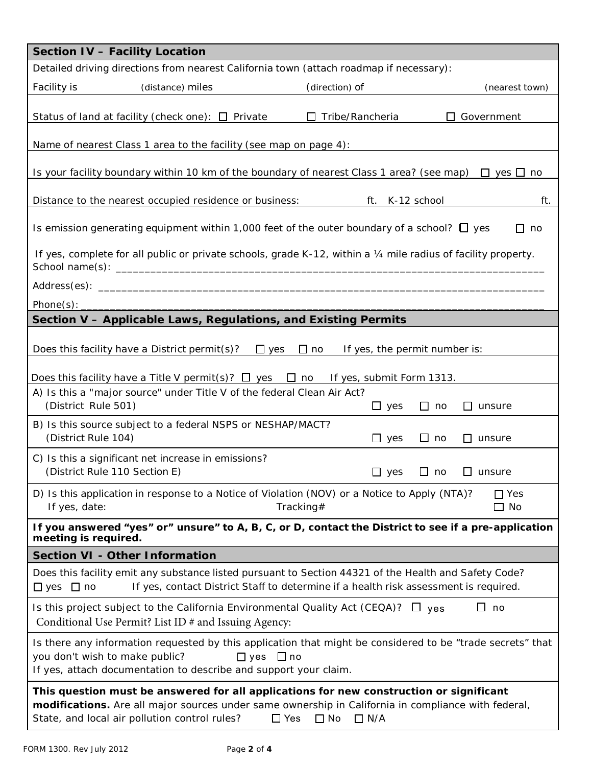| <b>Section IV - Facility Location</b>                                                                                                                                                                                                                                                    |  |  |  |  |  |  |  |  |
|------------------------------------------------------------------------------------------------------------------------------------------------------------------------------------------------------------------------------------------------------------------------------------------|--|--|--|--|--|--|--|--|
| Detailed driving directions from nearest California town (attach roadmap if necessary):                                                                                                                                                                                                  |  |  |  |  |  |  |  |  |
| Facility is<br>(distance) miles<br>(direction) of<br>(nearest town)                                                                                                                                                                                                                      |  |  |  |  |  |  |  |  |
| Status of land at facility (check one): $\Box$ Private<br>$\Box$ Tribe/Rancheria<br>$\Box$ Government                                                                                                                                                                                    |  |  |  |  |  |  |  |  |
| Name of nearest Class 1 area to the facility (see map on page 4):                                                                                                                                                                                                                        |  |  |  |  |  |  |  |  |
| Is your facility boundary within 10 km of the boundary of nearest Class 1 area? (see map) $\Box$ yes $\Box$ no                                                                                                                                                                           |  |  |  |  |  |  |  |  |
| Distance to the nearest occupied residence or business:<br>ft. K-12 school<br>ft.                                                                                                                                                                                                        |  |  |  |  |  |  |  |  |
| Is emission generating equipment within 1,000 feet of the outer boundary of a school? $\square$ yes<br>□ no                                                                                                                                                                              |  |  |  |  |  |  |  |  |
| If yes, complete for all public or private schools, grade K-12, within a 1/4 mile radius of facility property.                                                                                                                                                                           |  |  |  |  |  |  |  |  |
|                                                                                                                                                                                                                                                                                          |  |  |  |  |  |  |  |  |
| Phone(s): $\overline{\phantom{a}}$                                                                                                                                                                                                                                                       |  |  |  |  |  |  |  |  |
| Section V - Applicable Laws, Regulations, and Existing Permits                                                                                                                                                                                                                           |  |  |  |  |  |  |  |  |
| Does this facility have a District permit(s)? $\Box$ yes $\Box$ no<br>If yes, the permit number is:                                                                                                                                                                                      |  |  |  |  |  |  |  |  |
| Does this facility have a Title V permit(s)? $\Box$ yes $\Box$ no If yes, submit Form 1313.                                                                                                                                                                                              |  |  |  |  |  |  |  |  |
| A) Is this a "major source" under Title V of the federal Clean Air Act?<br>(District Rule 501)<br>$\Box$ yes<br>$\Box$ no<br>$\Box$ unsure                                                                                                                                               |  |  |  |  |  |  |  |  |
| B) Is this source subject to a federal NSPS or NESHAP/MACT?<br>(District Rule 104)<br>$\Box$ no<br>$\Box$ yes<br>$\Box$ unsure                                                                                                                                                           |  |  |  |  |  |  |  |  |
| C) Is this a significant net increase in emissions?<br>(District Rule 110 Section E)<br>$\Box$ no<br>$\Box$ yes<br>$\Box$ unsure                                                                                                                                                         |  |  |  |  |  |  |  |  |
| D) Is this application in response to a Notice of Violation (NOV) or a Notice to Apply (NTA)?<br>$\Box$ Yes<br>$\Box$ No<br>If yes, date:<br>Tracking#                                                                                                                                   |  |  |  |  |  |  |  |  |
| If you answered "yes" or" unsure" to A, B, C, or D, contact the District to see if a pre-application<br>meeting is required.                                                                                                                                                             |  |  |  |  |  |  |  |  |
| <b>Section VI - Other Information</b>                                                                                                                                                                                                                                                    |  |  |  |  |  |  |  |  |
| Does this facility emit any substance listed pursuant to Section 44321 of the Health and Safety Code?<br>If yes, contact District Staff to determine if a health risk assessment is required.<br>$\Box$ yes $\Box$ no                                                                    |  |  |  |  |  |  |  |  |
| Is this project subject to the California Environmental Quality Act (CEQA)? $\Box$ yes<br>$\square$ no<br>Conditional Use Permit? List ID # and Issuing Agency:                                                                                                                          |  |  |  |  |  |  |  |  |
| Is there any information requested by this application that might be considered to be "trade secrets" that<br>you don't wish to make public?<br>$\Box$ yes $\Box$ no<br>If yes, attach documentation to describe and support your claim.                                                 |  |  |  |  |  |  |  |  |
| This question must be answered for all applications for new construction or significant<br>modifications. Are all major sources under same ownership in California in compliance with federal,<br>State, and local air pollution control rules?<br>$\Box$ Yes<br>$\Box$ No<br>$\Box$ N/A |  |  |  |  |  |  |  |  |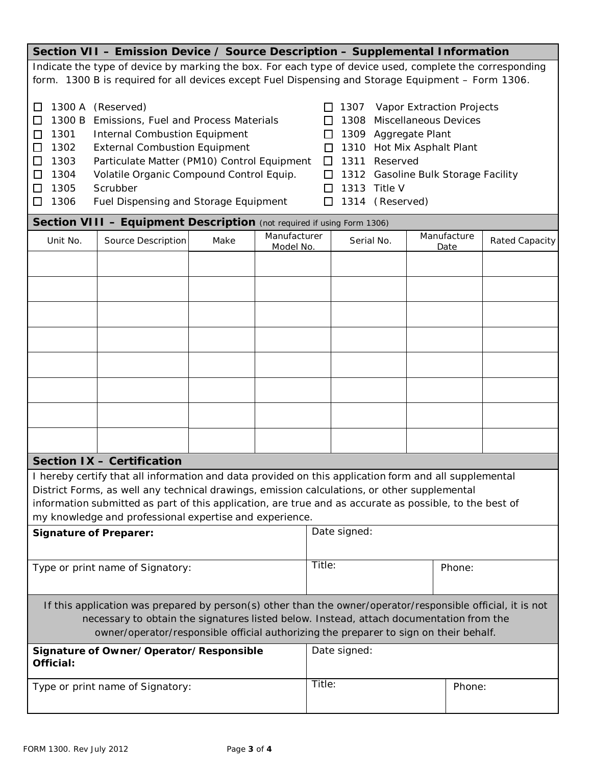| Section VII - Emission Device / Source Description - Supplemental Information                                                                                                                                                                                                                                                                                                                                                                                                                                                                                                                                                                                                                                                                                                             |                                                                        |      |              |              |            |  |             |                |
|-------------------------------------------------------------------------------------------------------------------------------------------------------------------------------------------------------------------------------------------------------------------------------------------------------------------------------------------------------------------------------------------------------------------------------------------------------------------------------------------------------------------------------------------------------------------------------------------------------------------------------------------------------------------------------------------------------------------------------------------------------------------------------------------|------------------------------------------------------------------------|------|--------------|--------------|------------|--|-------------|----------------|
| Indicate the type of device by marking the box. For each type of device used, complete the corresponding                                                                                                                                                                                                                                                                                                                                                                                                                                                                                                                                                                                                                                                                                  |                                                                        |      |              |              |            |  |             |                |
|                                                                                                                                                                                                                                                                                                                                                                                                                                                                                                                                                                                                                                                                                                                                                                                           |                                                                        |      |              |              |            |  |             |                |
| form. 1300 B is required for all devices except Fuel Dispensing and Storage Equipment - Form 1306.<br>1300 A (Reserved)<br>Vapor Extraction Projects<br>LΙ<br>1307<br>1300 B<br>Emissions, Fuel and Process Materials<br><b>Miscellaneous Devices</b><br>$\Box$<br>1308<br>1301<br><b>Internal Combustion Equipment</b><br>1309 Aggregate Plant<br>П<br>$\Box$<br>1302<br><b>External Combustion Equipment</b><br>Hot Mix Asphalt Plant<br>□<br>1310<br>ΙI<br>Particulate Matter (PM10) Control Equipment<br>□<br>1303<br>1311<br>Reserved<br>$\Box$<br>1304<br>Volatile Organic Compound Control Equip.<br>1312 Gasoline Bulk Storage Facility<br>□<br>□<br>Scrubber<br>1305<br>1313<br>Title V<br>□<br>ΙI<br>1306<br>1314 (Reserved)<br>□<br>Fuel Dispensing and Storage Equipment<br>□ |                                                                        |      |              |              |            |  |             |                |
|                                                                                                                                                                                                                                                                                                                                                                                                                                                                                                                                                                                                                                                                                                                                                                                           | Section VIII - Equipment Description (not required if using Form 1306) |      |              |              |            |  |             |                |
| Unit No.                                                                                                                                                                                                                                                                                                                                                                                                                                                                                                                                                                                                                                                                                                                                                                                  | Source Description                                                     | Make | Manufacturer |              | Serial No. |  | Manufacture | Rated Capacity |
|                                                                                                                                                                                                                                                                                                                                                                                                                                                                                                                                                                                                                                                                                                                                                                                           |                                                                        |      | Model No.    |              |            |  | Date        |                |
|                                                                                                                                                                                                                                                                                                                                                                                                                                                                                                                                                                                                                                                                                                                                                                                           |                                                                        |      |              |              |            |  |             |                |
|                                                                                                                                                                                                                                                                                                                                                                                                                                                                                                                                                                                                                                                                                                                                                                                           |                                                                        |      |              |              |            |  |             |                |
|                                                                                                                                                                                                                                                                                                                                                                                                                                                                                                                                                                                                                                                                                                                                                                                           |                                                                        |      |              |              |            |  |             |                |
|                                                                                                                                                                                                                                                                                                                                                                                                                                                                                                                                                                                                                                                                                                                                                                                           |                                                                        |      |              |              |            |  |             |                |
|                                                                                                                                                                                                                                                                                                                                                                                                                                                                                                                                                                                                                                                                                                                                                                                           |                                                                        |      |              |              |            |  |             |                |
|                                                                                                                                                                                                                                                                                                                                                                                                                                                                                                                                                                                                                                                                                                                                                                                           |                                                                        |      |              |              |            |  |             |                |
|                                                                                                                                                                                                                                                                                                                                                                                                                                                                                                                                                                                                                                                                                                                                                                                           |                                                                        |      |              |              |            |  |             |                |
|                                                                                                                                                                                                                                                                                                                                                                                                                                                                                                                                                                                                                                                                                                                                                                                           |                                                                        |      |              |              |            |  |             |                |
|                                                                                                                                                                                                                                                                                                                                                                                                                                                                                                                                                                                                                                                                                                                                                                                           |                                                                        |      |              |              |            |  |             |                |
|                                                                                                                                                                                                                                                                                                                                                                                                                                                                                                                                                                                                                                                                                                                                                                                           |                                                                        |      |              |              |            |  |             |                |
|                                                                                                                                                                                                                                                                                                                                                                                                                                                                                                                                                                                                                                                                                                                                                                                           |                                                                        |      |              |              |            |  |             |                |
|                                                                                                                                                                                                                                                                                                                                                                                                                                                                                                                                                                                                                                                                                                                                                                                           |                                                                        |      |              |              |            |  |             |                |
|                                                                                                                                                                                                                                                                                                                                                                                                                                                                                                                                                                                                                                                                                                                                                                                           |                                                                        |      |              |              |            |  |             |                |
| Section IX - Certification<br>I hereby certify that all information and data provided on this application form and all supplemental                                                                                                                                                                                                                                                                                                                                                                                                                                                                                                                                                                                                                                                       |                                                                        |      |              |              |            |  |             |                |
|                                                                                                                                                                                                                                                                                                                                                                                                                                                                                                                                                                                                                                                                                                                                                                                           |                                                                        |      |              |              |            |  |             |                |
| District Forms, as well any technical drawings, emission calculations, or other supplemental                                                                                                                                                                                                                                                                                                                                                                                                                                                                                                                                                                                                                                                                                              |                                                                        |      |              |              |            |  |             |                |
| information submitted as part of this application, are true and as accurate as possible, to the best of<br>my knowledge and professional expertise and experience.                                                                                                                                                                                                                                                                                                                                                                                                                                                                                                                                                                                                                        |                                                                        |      |              |              |            |  |             |                |
| Date signed:<br><b>Signature of Preparer:</b>                                                                                                                                                                                                                                                                                                                                                                                                                                                                                                                                                                                                                                                                                                                                             |                                                                        |      |              |              |            |  |             |                |
|                                                                                                                                                                                                                                                                                                                                                                                                                                                                                                                                                                                                                                                                                                                                                                                           |                                                                        |      |              |              |            |  |             |                |
|                                                                                                                                                                                                                                                                                                                                                                                                                                                                                                                                                                                                                                                                                                                                                                                           |                                                                        |      |              |              | Title:     |  |             |                |
| Type or print name of Signatory:                                                                                                                                                                                                                                                                                                                                                                                                                                                                                                                                                                                                                                                                                                                                                          |                                                                        |      |              |              |            |  | Phone:      |                |
|                                                                                                                                                                                                                                                                                                                                                                                                                                                                                                                                                                                                                                                                                                                                                                                           |                                                                        |      |              |              |            |  |             |                |
| If this application was prepared by person(s) other than the owner/operator/responsible official, it is not                                                                                                                                                                                                                                                                                                                                                                                                                                                                                                                                                                                                                                                                               |                                                                        |      |              |              |            |  |             |                |
| necessary to obtain the signatures listed below. Instead, attach documentation from the                                                                                                                                                                                                                                                                                                                                                                                                                                                                                                                                                                                                                                                                                                   |                                                                        |      |              |              |            |  |             |                |
| owner/operator/responsible official authorizing the preparer to sign on their behalf.                                                                                                                                                                                                                                                                                                                                                                                                                                                                                                                                                                                                                                                                                                     |                                                                        |      |              |              |            |  |             |                |
| Signature of Owner/Operator/Responsible                                                                                                                                                                                                                                                                                                                                                                                                                                                                                                                                                                                                                                                                                                                                                   |                                                                        |      |              | Date signed: |            |  |             |                |
| Official:                                                                                                                                                                                                                                                                                                                                                                                                                                                                                                                                                                                                                                                                                                                                                                                 |                                                                        |      |              |              |            |  |             |                |
|                                                                                                                                                                                                                                                                                                                                                                                                                                                                                                                                                                                                                                                                                                                                                                                           | Type or print name of Signatory:                                       |      |              | Title:       |            |  | Phone:      |                |
|                                                                                                                                                                                                                                                                                                                                                                                                                                                                                                                                                                                                                                                                                                                                                                                           |                                                                        |      |              |              |            |  |             |                |
|                                                                                                                                                                                                                                                                                                                                                                                                                                                                                                                                                                                                                                                                                                                                                                                           |                                                                        |      |              |              |            |  |             |                |